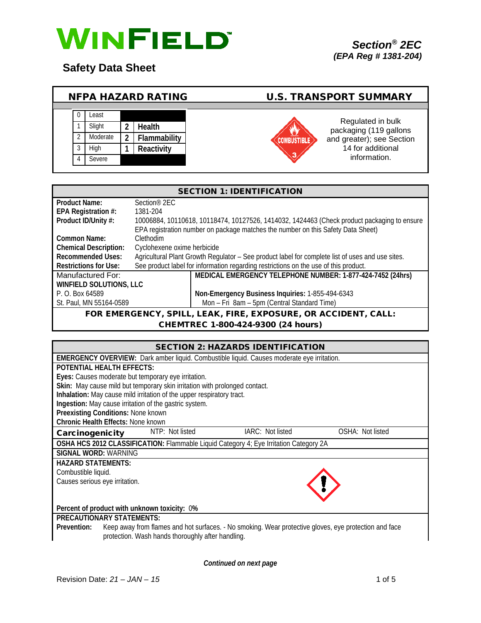

**Safety Data Sheet**

|  |          | <b>NFPA HAZARD RATING</b> | <b>U.S. TRANSPORT SUMMARY</b> |                                             |
|--|----------|---------------------------|-------------------------------|---------------------------------------------|
|  |          |                           |                               |                                             |
|  | Least    |                           |                               |                                             |
|  | Slight   | <b>Health</b>             |                               | Regulated in bulk<br>packaging (119 gallons |
|  | Moderate | Flammability              |                               | and greater); see Section                   |
|  | High     | Reactivity                |                               | 14 for additional                           |
|  | Severe   |                           |                               | information.                                |
|  |          |                           |                               |                                             |

| <b>SECTION 1: IDENTIFICATION</b>                                  |                             |                                                                                                  |  |
|-------------------------------------------------------------------|-----------------------------|--------------------------------------------------------------------------------------------------|--|
| <b>Product Name:</b>                                              | Section <sup>®</sup> 2EC    |                                                                                                  |  |
| EPA Registration #:                                               | 1381-204                    |                                                                                                  |  |
| Product ID/Unity #:                                               |                             | 10006884, 10110618, 10118474, 10127526, 1414032, 1424463 (Check product packaging to ensure      |  |
|                                                                   |                             | EPA registration number on package matches the number on this Safety Data Sheet)                 |  |
| Common Name:                                                      | Clethodim                   |                                                                                                  |  |
| <b>Chemical Description:</b>                                      | Cyclohexene oxime herbicide |                                                                                                  |  |
| <b>Recommended Uses:</b>                                          |                             | Agricultural Plant Growth Regulator - See product label for complete list of uses and use sites. |  |
| <b>Restrictions for Use:</b>                                      |                             | See product label for information regarding restrictions on the use of this product.             |  |
| Manufactured For:                                                 |                             | MEDICAL EMERGENCY TELEPHONE NUMBER: 1-877-424-7452 (24hrs)                                       |  |
| <b>WINFIELD SOLUTIONS, LLC</b>                                    |                             |                                                                                                  |  |
| P. O. Box 64589                                                   |                             | Non-Emergency Business Inquiries: 1-855-494-6343                                                 |  |
| St. Paul, MN 55164-0589                                           |                             | Mon - Fri 8am - 5pm (Central Standard Time)                                                      |  |
| $FAK$ FIDE EXPOSIJDE OP ACCIDENT CALL.<br>EOD EMEDGENCY<br>SDII I |                             |                                                                                                  |  |

ERGENCY, SPILL, LEAK, FIRE, EXPOSURE, OR ACCIDENT, CALL: CHEMTREC 1-800-424-9300 (24 hours)

|                                                                                                                      | <b>SECTION 2: HAZARDS IDENTIFICATION</b> |                  |  |  |
|----------------------------------------------------------------------------------------------------------------------|------------------------------------------|------------------|--|--|
| <b>EMERGENCY OVERVIEW:</b> Dark amber liquid. Combustible liquid. Causes moderate eye irritation.                    |                                          |                  |  |  |
| POTENTIAL HEALTH FEFECTS:                                                                                            |                                          |                  |  |  |
| Eyes: Causes moderate but temporary eye irritation.                                                                  |                                          |                  |  |  |
| Skin: May cause mild but temporary skin irritation with prolonged contact.                                           |                                          |                  |  |  |
| Inhalation: May cause mild irritation of the upper respiratory tract.                                                |                                          |                  |  |  |
| Ingestion: May cause irritation of the gastric system.                                                               |                                          |                  |  |  |
| Preexisting Conditions: None known                                                                                   |                                          |                  |  |  |
| <b>Chronic Health Effects: None known</b>                                                                            |                                          |                  |  |  |
| NTP: Not listed<br>Carcinogenicity                                                                                   | IARC: Not listed                         | OSHA: Not listed |  |  |
| OSHA HCS 2012 CLASSIFICATION: Flammable Liquid Category 4; Eye Irritation Category 2A                                |                                          |                  |  |  |
| <b>SIGNAL WORD: WARNING</b>                                                                                          |                                          |                  |  |  |
| <b>HAZARD STATEMENTS:</b>                                                                                            |                                          |                  |  |  |
| Combustible liquid.                                                                                                  |                                          |                  |  |  |
| Causes serious eye irritation.                                                                                       |                                          |                  |  |  |
|                                                                                                                      |                                          |                  |  |  |
| Percent of product with unknown toxicity: 0%                                                                         |                                          |                  |  |  |
| <b>PRECAUTIONARY STATEMENTS:</b>                                                                                     |                                          |                  |  |  |
| Keep away from flames and hot surfaces. - No smoking. Wear protective gloves, eye protection and face<br>Prevention: |                                          |                  |  |  |
| protection. Wash hands thoroughly after handling.                                                                    |                                          |                  |  |  |

*Continued on next page*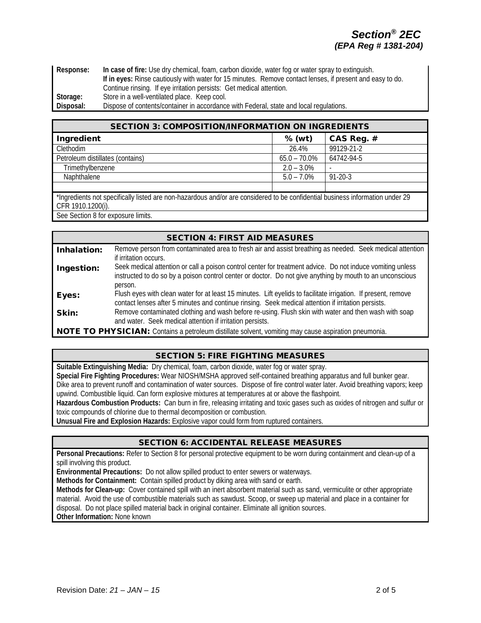| Response: | In case of fire: Use dry chemical, foam, carbon dioxide, water fog or water spray to extinguish.          |  |  |
|-----------|-----------------------------------------------------------------------------------------------------------|--|--|
|           | If in eyes: Rinse cautiously with water for 15 minutes. Remove contact lenses, if present and easy to do. |  |  |
|           | Continue rinsing. If eye irritation persists: Get medical attention.                                      |  |  |
| Storage:  | Store in a well-ventilated place. Keep cool.                                                              |  |  |
| Disposal: | Dispose of contents/container in accordance with Federal, state and local regulations.                    |  |  |

| <b>SECTION 3: COMPOSITION/INFORMATION ON INGREDIENTS</b>                                                                                           |                 |               |  |
|----------------------------------------------------------------------------------------------------------------------------------------------------|-----------------|---------------|--|
| Ingredient                                                                                                                                         | $%$ (wt)        | CAS Reg. #    |  |
| Clethodim                                                                                                                                          | 26.4%           | 99129-21-2    |  |
| Petroleum distillates (contains)                                                                                                                   | $65.0 - 70.0\%$ | 64742-94-5    |  |
| Trimethylbenzene                                                                                                                                   | $2.0 - 3.0\%$   |               |  |
| Naphthalene                                                                                                                                        | $5.0 - 7.0\%$   | $91 - 20 - 3$ |  |
|                                                                                                                                                    |                 |               |  |
| *Ingredients not specifically listed are non-hazardous and/or are considered to be confidential business information under 29<br>CFR 1910.1200(i). |                 |               |  |

See Section 8 for exposure limits.

|                                                                                                      | <b>SECTION 4: FIRST AID MEASURES</b>                                                                                                                                                                                               |  |
|------------------------------------------------------------------------------------------------------|------------------------------------------------------------------------------------------------------------------------------------------------------------------------------------------------------------------------------------|--|
| Inhalation:                                                                                          | Remove person from contaminated area to fresh air and assist breathing as needed. Seek medical attention<br>if irritation occurs.                                                                                                  |  |
| Ingestion:                                                                                           | Seek medical attention or call a poison control center for treatment advice. Do not induce vomiting unless<br>instructed to do so by a poison control center or doctor. Do not give anything by mouth to an unconscious<br>person. |  |
| Eyes:                                                                                                | Flush eyes with clean water for at least 15 minutes. Lift eyelids to facilitate irrigation. If present, remove<br>contact lenses after 5 minutes and continue rinsing. Seek medical attention if irritation persists.              |  |
| Skin:                                                                                                | Remove contaminated clothing and wash before re-using. Flush skin with water and then wash with soap<br>and water. Seek medical attention if irritation persists.                                                                  |  |
| NOTE TO PHYSICIAN: Contains a petroleum distillate solvent, vomiting may cause aspiration pneumonia. |                                                                                                                                                                                                                                    |  |

## SECTION 5: FIRE FIGHTING MEASURES

**Suitable Extinguishing Media:** Dry chemical, foam, carbon dioxide, water fog or water spray.

**Special Fire Fighting Procedures:** Wear NIOSH/MSHA approved self-contained breathing apparatus and full bunker gear. Dike area to prevent runoff and contamination of water sources. Dispose of fire control water later. Avoid breathing vapors; keep upwind. Combustible liquid. Can form explosive mixtures at temperatures at or above the flashpoint.

**Hazardous Combustion Products:** Can burn in fire, releasing irritating and toxic gases such as oxides of nitrogen and sulfur or toxic compounds of chlorine due to thermal decomposition or combustion.

**Unusual Fire and Explosion Hazards:** Explosive vapor could form from ruptured containers.

## SECTION 6: ACCIDENTAL RELEASE MEASURES

**Personal Precautions:** Refer to Section 8 for personal protective equipment to be worn during containment and clean-up of a spill involving this product.

**Environmental Precautions:** Do not allow spilled product to enter sewers or waterways.

**Methods for Containment:** Contain spilled product by diking area with sand or earth.

**Methods for Clean-up:** Cover contained spill with an inert absorbent material such as sand, vermiculite or other appropriate material. Avoid the use of combustible materials such as sawdust. Scoop, or sweep up material and place in a container for disposal. Do not place spilled material back in original container. Eliminate all ignition sources. **Other Information:** None known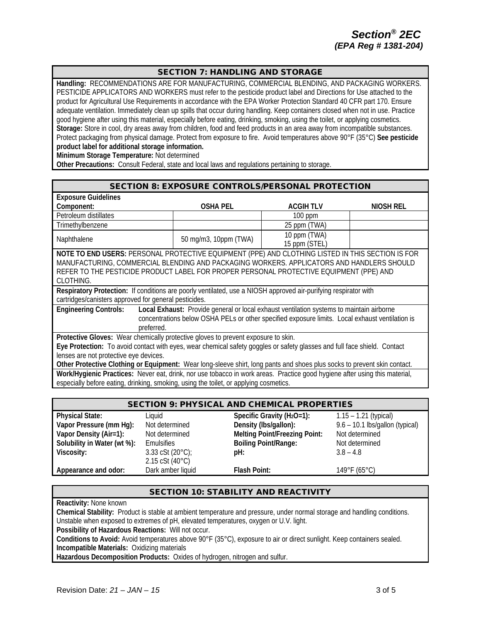## SECTION 7: HANDLING AND STORAGE

**Handling:** RECOMMENDATIONS ARE FOR MANUFACTURING, COMMERCIAL BLENDING, AND PACKAGING WORKERS. PESTICIDE APPLICATORS AND WORKERS must refer to the pesticide product label and Directions for Use attached to the product for Agricultural Use Requirements in accordance with the EPA Worker Protection Standard 40 CFR part 170. Ensure adequate ventilation. Immediately clean up spills that occur during handling. Keep containers closed when not in use. Practice good hygiene after using this material, especially before eating, drinking, smoking, using the toilet, or applying cosmetics. **Storage:** Store in cool, dry areas away from children, food and feed products in an area away from incompatible substances. Protect packaging from physical damage. Protect from exposure to fire. Avoid temperatures above 90°F (35°C) **See pesticide product label for additional storage information.**

**Minimum Storage Temperature:** Not determined

**Other Precautions:** Consult Federal, state and local laws and regulations pertaining to storage.

| <b>Exposure Guidelines</b>                                                                                                 |                                                                                                                 |                  |           |  |  |
|----------------------------------------------------------------------------------------------------------------------------|-----------------------------------------------------------------------------------------------------------------|------------------|-----------|--|--|
| Component:                                                                                                                 | <b>OSHA PEL</b>                                                                                                 | <b>ACGIH TLV</b> | NIOSH REL |  |  |
| Petroleum distillates                                                                                                      |                                                                                                                 | $100$ ppm        |           |  |  |
| Trimethylbenzene                                                                                                           |                                                                                                                 | 25 ppm (TWA)     |           |  |  |
| Naphthalene                                                                                                                |                                                                                                                 | 10 ppm (TWA)     |           |  |  |
|                                                                                                                            | 50 mg/m3, 10ppm (TWA)                                                                                           | 15 ppm (STEL)    |           |  |  |
| NOTE TO END USERS: PERSONAL PROTECTIVE EQUIPMENT (PPE) AND CLOTHING LISTED IN THIS SECTION IS FOR                          |                                                                                                                 |                  |           |  |  |
| MANUFACTURING, COMMERCIAL BLENDING AND PACKAGING WORKERS. APPLICATORS AND HANDLERS SHOULD                                  |                                                                                                                 |                  |           |  |  |
| REFER TO THE PESTICIDE PRODUCT LABEL FOR PROPER PERSONAL PROTECTIVE EQUIPMENT (PPE) AND                                    |                                                                                                                 |                  |           |  |  |
| CLOTHING.                                                                                                                  |                                                                                                                 |                  |           |  |  |
|                                                                                                                            | Respiratory Protection: If conditions are poorly ventilated, use a NIOSH approved air-purifying respirator with |                  |           |  |  |
| cartridges/canisters approved for general pesticides.                                                                      |                                                                                                                 |                  |           |  |  |
| <b>Engineering Controls:</b><br>Local Exhaust: Provide general or local exhaust ventilation systems to maintain airborne   |                                                                                                                 |                  |           |  |  |
| concentrations below OSHA PELs or other specified exposure limits. Local exhaust ventilation is                            |                                                                                                                 |                  |           |  |  |
| preferred.                                                                                                                 |                                                                                                                 |                  |           |  |  |
| Protective Gloves: Wear chemically protective gloves to prevent exposure to skin.                                          |                                                                                                                 |                  |           |  |  |
| Eye Protection: To avoid contact with eyes, wear chemical safety goggles or safety glasses and full face shield. Contact   |                                                                                                                 |                  |           |  |  |
| lenses are not protective eye devices.                                                                                     |                                                                                                                 |                  |           |  |  |
| Other Protective Clothing or Equipment: Wear long-sleeve shirt, long pants and shoes plus socks to prevent skin contact.   |                                                                                                                 |                  |           |  |  |
| Work/Hygienic Practices: Never eat, drink, nor use tobacco in work areas. Practice good hygiene after using this material, |                                                                                                                 |                  |           |  |  |
| especially before eating, drinking, smoking, using the toilet, or applying cosmetics.                                      |                                                                                                                 |                  |           |  |  |

| <b>SECTION 9: PHYSICAL AND CHEMICAL PROPERTIES</b> |                            |                                        |                                 |
|----------------------------------------------------|----------------------------|----------------------------------------|---------------------------------|
| <b>Physical State:</b>                             | Liauid                     | Specific Gravity (H <sub>2</sub> O=1): | $1.15 - 1.21$ (typical)         |
| Vapor Pressure (mm Hg):                            | Not determined             | Density (Ibs/gallon):                  | 9.6 - 10.1 lbs/gallon (typical) |
| Vapor Density (Air=1):                             | Not determined             | <b>Melting Point/Freezing Point:</b>   | Not determined                  |
| Solubility in Water (wt %):                        | Emulsifies                 | <b>Boiling Point/Range:</b>            | Not determined                  |
| Viscosity:                                         | 3.33 cSt $(20^{\circ}C)$ ; | pH:                                    | $3.8 - 4.8$                     |
|                                                    | 2.15 cSt (40°C)            |                                        |                                 |
| Appearance and odor:                               | Dark amber liquid          | Flash Point:                           | 149°F (65°C)                    |

## SECTION 10: STABILITY AND REACTIVITY

**Reactivity:** None known

**Chemical Stability:** Product is stable at ambient temperature and pressure, under normal storage and handling conditions. Unstable when exposed to extremes of pH, elevated temperatures, oxygen or U.V. light.

**Possibility of Hazardous Reactions:** Will not occur.

**Conditions to Avoid:** Avoid temperatures above 90°F (35°C), exposure to air or direct sunlight. Keep containers sealed. **Incompatible Materials:** Oxidizing materials

**Hazardous Decomposition Products:** Oxides of hydrogen, nitrogen and sulfur.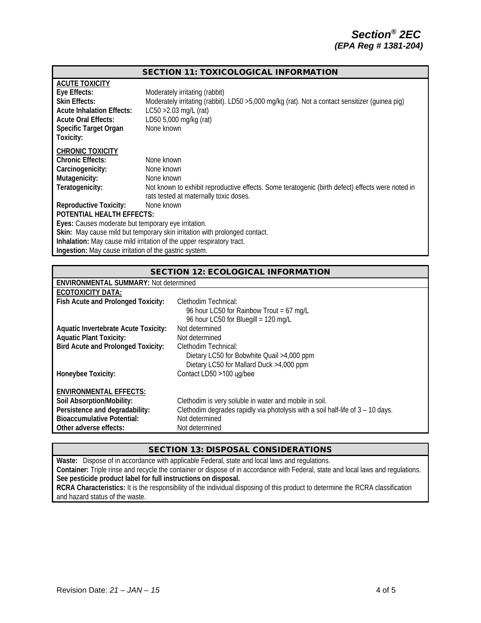#### SECTION 11: TOXICOLOGICAL INFORMATION

| <b>ACUTE TOXICITY</b><br>Eye Effects:<br><b>Skin Effects:</b><br><b>Acute Inhalation Effects:</b><br><b>Acute Oral Effects:</b><br>Specific Target Organ<br>Toxicity: | Moderately irritating (rabbit)<br>Moderately irritating (rabbit). LD50 >5,000 mg/kg (rat). Not a contact sensitizer (quinea pig)<br>$LC50 > 2.03$ mg/L (rat)<br>LD50 5,000 mg/kg (rat)<br>None known |  |  |
|-----------------------------------------------------------------------------------------------------------------------------------------------------------------------|------------------------------------------------------------------------------------------------------------------------------------------------------------------------------------------------------|--|--|
| <b>CHRONIC TOXICITY</b><br><b>Chronic Effects:</b><br>Carcinogenicity:<br>Mutagenicity:<br>Teratogenicity:                                                            | None known<br>None known<br>None known<br>Not known to exhibit reproductive effects. Some teratogenic (birth defect) effects were noted in<br>rats tested at maternally toxic doses.                 |  |  |
| <b>Reproductive Toxicity:</b><br>None known<br>POTENTIAL HEALTH EFFECTS:                                                                                              |                                                                                                                                                                                                      |  |  |
| Eyes: Causes moderate but temporary eye irritation.                                                                                                                   |                                                                                                                                                                                                      |  |  |
| Skin: May cause mild but temporary skin irritation with prolonged contact.                                                                                            |                                                                                                                                                                                                      |  |  |
| Inhalation: May cause mild irritation of the upper respiratory tract.                                                                                                 |                                                                                                                                                                                                      |  |  |
| Ingestion: May cause irritation of the gastric system.                                                                                                                |                                                                                                                                                                                                      |  |  |

| <b>SECTION 12: ECOLOGICAL INFORMATION</b>   |                                                                                 |  |  |  |  |
|---------------------------------------------|---------------------------------------------------------------------------------|--|--|--|--|
|                                             | <b>ENVIRONMENTAL SUMMARY: Not determined</b>                                    |  |  |  |  |
| <b>ECOTOXICITY DATA:</b>                    |                                                                                 |  |  |  |  |
| Fish Acute and Prolonged Toxicity:          | Clethodim Technical:                                                            |  |  |  |  |
|                                             | 96 hour LC50 for Rainbow Trout = 67 mg/L                                        |  |  |  |  |
|                                             | 96 hour LC50 for Bluegill = 120 mg/L                                            |  |  |  |  |
| <b>Aquatic Invertebrate Acute Toxicity:</b> | Not determined                                                                  |  |  |  |  |
| <b>Aquatic Plant Toxicity:</b>              | Not determined                                                                  |  |  |  |  |
| <b>Bird Acute and Prolonged Toxicity:</b>   | Clethodim Technical:                                                            |  |  |  |  |
|                                             | Dietary LC50 for Bobwhite Quail >4,000 ppm                                      |  |  |  |  |
|                                             | Dietary LC50 for Mallard Duck >4,000 ppm                                        |  |  |  |  |
| Honeybee Toxicity:                          | Contact LD50 >100 ug/bee                                                        |  |  |  |  |
|                                             |                                                                                 |  |  |  |  |
| <b>ENVIRONMENTAL EFFECTS:</b>               |                                                                                 |  |  |  |  |
| Soil Absorption/Mobility:                   | Clethodim is very soluble in water and mobile in soil.                          |  |  |  |  |
| Persistence and degradability:              | Clethodim degrades rapidly via photolysis with a soil half-life of 3 – 10 days. |  |  |  |  |
| <b>Bioaccumulative Potential:</b>           | Not determined                                                                  |  |  |  |  |
| Other adverse effects:                      | Not determined                                                                  |  |  |  |  |

#### SECTION 13: DISPOSAL CONSIDERATIONS

**Waste:** Dispose of in accordance with applicable Federal, state and local laws and regulations. **Container:** Triple rinse and recycle the container or dispose of in accordance with Federal, state and local laws and regulations. **See pesticide product label for full instructions on disposal. RCRA Characteristics:** It is the responsibility of the individual disposing of this product to determine the RCRA classification and hazard status of the waste.